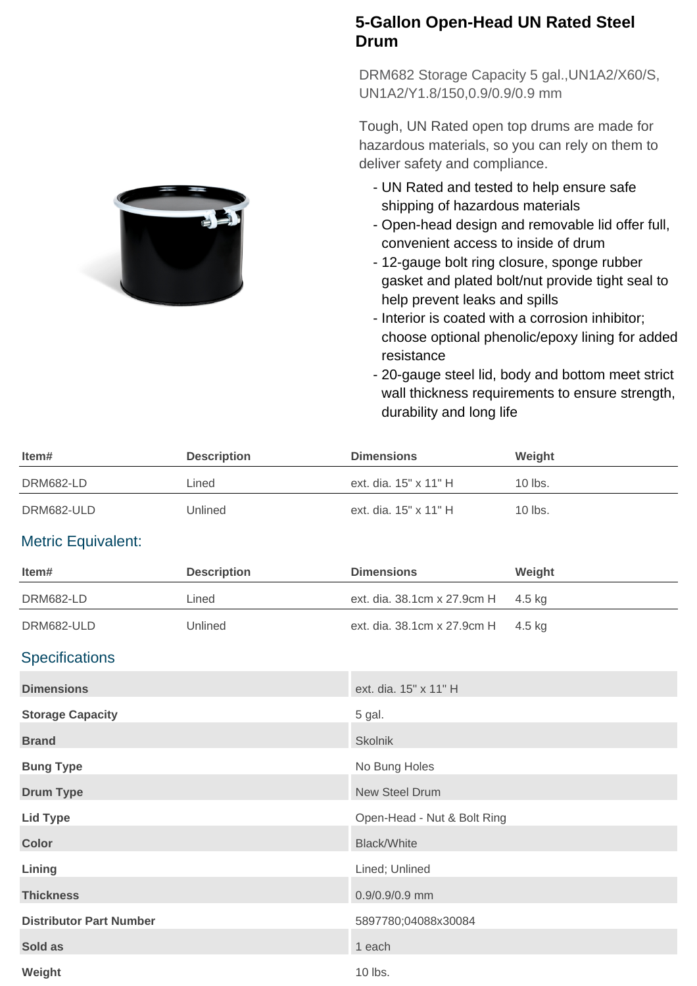## **5-Gallon Open-Head UN Rated Steel Drum**

DRM682 Storage Capacity 5 gal.,UN1A2/X60/S, UN1A2/Y1.8/150,0.9/0.9/0.9 mm

Tough, UN Rated open top drums are made for hazardous materials, so you can rely on them to deliver safety and compliance.

- UN Rated and tested to help ensure safe shipping of hazardous materials
- Open-head design and removable lid offer full, convenient access to inside of drum
- 12-gauge bolt ring closure, sponge rubber gasket and plated bolt/nut provide tight seal to help prevent leaks and spills
- Interior is coated with a corrosion inhibitor; choose optional phenolic/epoxy lining for added resistance
- 20-gauge steel lid, body and bottom meet strict wall thickness requirements to ensure strength, durability and long life

| Item#                          | <b>Description</b> | <b>Dimensions</b>           | Weight  |
|--------------------------------|--------------------|-----------------------------|---------|
| DRM682-LD                      | Lined              | ext. dia. 15" x 11" H       | 10 lbs. |
| DRM682-ULD                     | Unlined            | ext. dia. 15" x 11" H       | 10 lbs. |
| <b>Metric Equivalent:</b>      |                    |                             |         |
| Item#                          | <b>Description</b> | <b>Dimensions</b>           | Weight  |
| <b>DRM682-LD</b>               | Lined              | ext. dia. 38.1cm x 27.9cm H | 4.5 kg  |
| DRM682-ULD                     | Unlined            | ext. dia. 38.1cm x 27.9cm H | 4.5 kg  |
| <b>Specifications</b>          |                    |                             |         |
| <b>Dimensions</b>              |                    | ext. dia. 15" x 11" H       |         |
| <b>Storage Capacity</b>        |                    | 5 gal.                      |         |
| <b>Brand</b>                   |                    | Skolnik                     |         |
| <b>Bung Type</b>               |                    | No Bung Holes               |         |
| <b>Drum Type</b>               |                    | <b>New Steel Drum</b>       |         |
| <b>Lid Type</b>                |                    | Open-Head - Nut & Bolt Ring |         |
| <b>Color</b>                   |                    | <b>Black/White</b>          |         |
| Lining                         |                    | Lined; Unlined              |         |
| <b>Thickness</b>               |                    | 0.9/0.9/0.9 mm              |         |
| <b>Distributor Part Number</b> |                    | 5897780;04088x30084         |         |
| Sold as                        |                    | 1 each                      |         |
| Weight                         |                    | 10 lbs.                     |         |